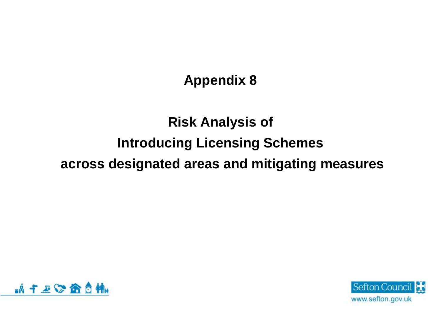**Appendix 8**

## **Risk Analysis of Introducing Licensing Schemes across designated areas and mitigating measures**



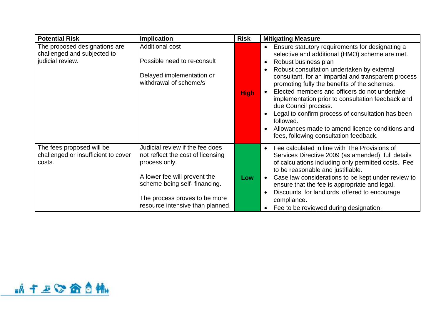| <b>Potential Risk</b>                                                            | <b>Implication</b>                                                                                                                                                                                                         | <b>Risk</b> | <b>Mitigating Measure</b>                                                                                                                                                                                                                                                                                                                                                                                                                                                                                                                                                                 |
|----------------------------------------------------------------------------------|----------------------------------------------------------------------------------------------------------------------------------------------------------------------------------------------------------------------------|-------------|-------------------------------------------------------------------------------------------------------------------------------------------------------------------------------------------------------------------------------------------------------------------------------------------------------------------------------------------------------------------------------------------------------------------------------------------------------------------------------------------------------------------------------------------------------------------------------------------|
| The proposed designations are<br>challenged and subjected to<br>judicial review. | <b>Additional cost</b><br>Possible need to re-consult<br>Delayed implementation or<br>withdrawal of scheme/s                                                                                                               | <b>High</b> | Ensure statutory requirements for designating a<br>$\bullet$<br>selective and additional (HMO) scheme are met.<br>Robust business plan<br>Robust consultation undertaken by external<br>consultant, for an impartial and transparent process<br>promoting fully the benefits of the schemes.<br>Elected members and officers do not undertake<br>implementation prior to consultation feedback and<br>due Council process.<br>Legal to confirm process of consultation has been<br>followed.<br>Allowances made to amend licence conditions and<br>fees, following consultation feedback. |
| The fees proposed will be<br>challenged or insufficient to cover<br>costs.       | Judicial review if the fee does<br>not reflect the cost of licensing<br>process only.<br>A lower fee will prevent the<br>scheme being self-financing.<br>The process proves to be more<br>resource intensive than planned. | Low         | Fee calculated in line with The Provisions of<br>Services Directive 2009 (as amended), full details<br>of calculations including only permitted costs. Fee<br>to be reasonable and justifiable.<br>Case law considerations to be kept under review to<br>ensure that the fee is appropriate and legal.<br>Discounts for landlords offered to encourage<br>compliance.<br>Fee to be reviewed during designation.                                                                                                                                                                           |

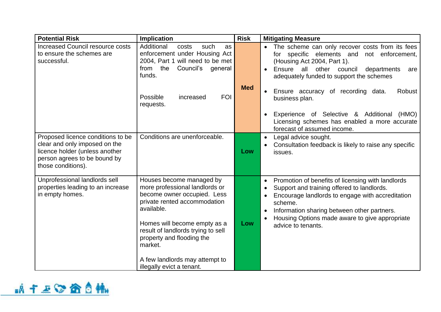| <b>Potential Risk</b>                                                                                                                                      | <b>Implication</b>                                                                                                                                                                                                                                    | <b>Risk</b> | <b>Mitigating Measure</b>                                                                                                                                                                                                                                                                                       |
|------------------------------------------------------------------------------------------------------------------------------------------------------------|-------------------------------------------------------------------------------------------------------------------------------------------------------------------------------------------------------------------------------------------------------|-------------|-----------------------------------------------------------------------------------------------------------------------------------------------------------------------------------------------------------------------------------------------------------------------------------------------------------------|
| <b>Increased Council resource costs</b><br>to ensure the schemes are<br>successful.                                                                        | Additional<br>such<br>costs<br>as<br>enforcement under Housing Act<br>2004, Part 1 will need to be met<br>from the<br>Council's<br>general<br>funds.                                                                                                  |             | The scheme can only recover costs from its fees<br>for specific elements and not enforcement,<br>(Housing Act 2004, Part 1).<br>Ensure all other council departments<br>are<br>adequately funded to support the schemes                                                                                         |
|                                                                                                                                                            | Possible<br><b>FOI</b><br>increased<br>requests.                                                                                                                                                                                                      | <b>Med</b>  | Ensure accuracy of recording data.<br>Robust<br>business plan.<br>Experience of Selective & Additional (HMO)<br>Licensing schemes has enabled a more accurate                                                                                                                                                   |
|                                                                                                                                                            |                                                                                                                                                                                                                                                       |             | forecast of assumed income.                                                                                                                                                                                                                                                                                     |
| Proposed licence conditions to be<br>clear and only imposed on the<br>licence holder (unless another<br>person agrees to be bound by<br>those conditions). | Conditions are unenforceable.                                                                                                                                                                                                                         | Low         | Legal advice sought.<br>Consultation feedback is likely to raise any specific<br>issues.                                                                                                                                                                                                                        |
| Unprofessional landlords sell<br>properties leading to an increase<br>in empty homes.                                                                      | Houses become managed by<br>more professional landlords or<br>become owner occupied. Less<br>private rented accommodation<br>available.<br>Homes will become empty as a<br>result of landlords trying to sell<br>property and flooding the<br>market. | Low         | Promotion of benefits of licensing with landlords<br>$\bullet$<br>Support and training offered to landlords.<br>Encourage landlords to engage with accreditation<br>scheme.<br>Information sharing between other partners.<br>$\bullet$<br>Housing Options made aware to give appropriate<br>advice to tenants. |
|                                                                                                                                                            | A few landlords may attempt to<br>illegally evict a tenant.                                                                                                                                                                                           |             |                                                                                                                                                                                                                                                                                                                 |

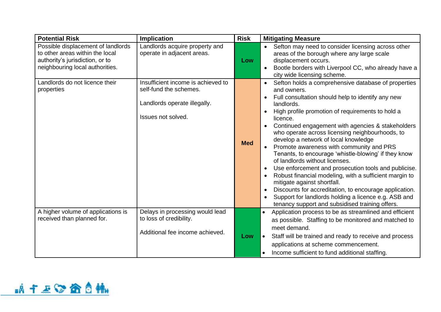| <b>Potential Risk</b>                                                                                                                       | <b>Implication</b>                                           | <b>Risk</b> | <b>Mitigating Measure</b>                                                                                                                                                                                                    |
|---------------------------------------------------------------------------------------------------------------------------------------------|--------------------------------------------------------------|-------------|------------------------------------------------------------------------------------------------------------------------------------------------------------------------------------------------------------------------------|
| Possible displacement of landlords<br>to other areas within the local<br>authority's jurisdiction, or to<br>neighbouring local authorities. | Landlords acquire property and<br>operate in adjacent areas. | Low         | Sefton may need to consider licensing across other<br>areas of the borough where any large scale<br>displacement occurs.<br>Bootle borders with Liverpool CC, who already have a<br>$\bullet$<br>city wide licensing scheme. |
| Landlords do not licence their                                                                                                              | Insufficient income is achieved to                           |             | Sefton holds a comprehensive database of properties<br>$\bullet$                                                                                                                                                             |
| properties                                                                                                                                  | self-fund the schemes.                                       |             | and owners.                                                                                                                                                                                                                  |
|                                                                                                                                             |                                                              |             | Full consultation should help to identify any new                                                                                                                                                                            |
|                                                                                                                                             | Landlords operate illegally.                                 |             | landlords.                                                                                                                                                                                                                   |
|                                                                                                                                             | Issues not solved.                                           |             | High profile promotion of requirements to hold a                                                                                                                                                                             |
|                                                                                                                                             |                                                              |             | licence.                                                                                                                                                                                                                     |
|                                                                                                                                             |                                                              |             | Continued engagement with agencies & stakeholders<br>who operate across licensing neighbourhoods, to                                                                                                                         |
|                                                                                                                                             |                                                              |             | develop a network of local knowledge                                                                                                                                                                                         |
|                                                                                                                                             |                                                              | <b>Med</b>  | Promote awareness with community and PRS                                                                                                                                                                                     |
|                                                                                                                                             |                                                              |             | Tenants, to encourage 'whistle-blowing' if they know                                                                                                                                                                         |
|                                                                                                                                             |                                                              |             | of landlords without licenses.                                                                                                                                                                                               |
|                                                                                                                                             |                                                              |             | Use enforcement and prosecution tools and publicise.                                                                                                                                                                         |
|                                                                                                                                             |                                                              |             | Robust financial modeling, with a sufficient margin to<br>mitigate against shortfall.                                                                                                                                        |
|                                                                                                                                             |                                                              |             | Discounts for accreditation, to encourage application.                                                                                                                                                                       |
|                                                                                                                                             |                                                              |             | Support for landlords holding a licence e.g. ASB and                                                                                                                                                                         |
|                                                                                                                                             |                                                              |             | tenancy support and subsidised training offers.                                                                                                                                                                              |
| A higher volume of applications is                                                                                                          | Delays in processing would lead                              |             | Application process to be as streamlined and efficient                                                                                                                                                                       |
| received than planned for.                                                                                                                  | to loss of credibility.                                      |             | as possible. Staffing to be monitored and matched to                                                                                                                                                                         |
|                                                                                                                                             | Additional fee income achieved.                              |             | meet demand.                                                                                                                                                                                                                 |
|                                                                                                                                             |                                                              | Low         | Staff will be trained and ready to receive and process                                                                                                                                                                       |
|                                                                                                                                             |                                                              |             | applications at scheme commencement.                                                                                                                                                                                         |
|                                                                                                                                             |                                                              |             | Income sufficient to fund additional staffing.                                                                                                                                                                               |

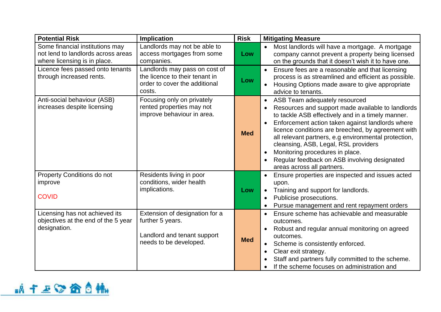| <b>Potential Risk</b>                                                                                 | <b>Implication</b>                                                                                          | <b>Risk</b> | <b>Mitigating Measure</b>                                                                                                                                                                                                                                                                                                                                                                                                                                          |
|-------------------------------------------------------------------------------------------------------|-------------------------------------------------------------------------------------------------------------|-------------|--------------------------------------------------------------------------------------------------------------------------------------------------------------------------------------------------------------------------------------------------------------------------------------------------------------------------------------------------------------------------------------------------------------------------------------------------------------------|
| Some financial institutions may<br>not lend to landlords across areas<br>where licensing is in place. | Landlords may not be able to<br>access mortgages from some<br>companies.                                    | Low         | Most landlords will have a mortgage. A mortgage<br>company cannot prevent a property being licensed<br>on the grounds that it doesn't wish it to have one.                                                                                                                                                                                                                                                                                                         |
| Licence fees passed onto tenants<br>through increased rents.                                          | Landlords may pass on cost of<br>the licence to their tenant in<br>order to cover the additional<br>costs.  | Low         | Ensure fees are a reasonable and that licensing<br>process is as streamlined and efficient as possible.<br>Housing Options made aware to give appropriate<br>advice to tenants.                                                                                                                                                                                                                                                                                    |
| Anti-social behaviour (ASB)<br>increases despite licensing                                            | Focusing only on privately<br>rented properties may not<br>improve behaviour in area.                       | <b>Med</b>  | ASB Team adequately resourced<br>Resources and support made available to landlords<br>to tackle ASB effectively and in a timely manner.<br>Enforcement action taken against landlords where<br>licence conditions are breeched, by agreement with<br>all relevant partners, e.g environmental protection,<br>cleansing, ASB, Legal, RSL providers<br>Monitoring procedures in place.<br>Regular feedback on ASB involving designated<br>areas across all partners. |
| Property Conditions do not<br>improve<br><b>COVID</b>                                                 | Residents living in poor<br>conditions, wider health<br>implications.                                       | Low         | Ensure properties are inspected and issues acted<br>upon.<br>Training and support for landlords.<br>Publicise prosecutions.<br>Pursue management and rent repayment orders                                                                                                                                                                                                                                                                                         |
| Licensing has not achieved its<br>objectives at the end of the 5 year<br>designation.                 | Extension of designation for a<br>further 5 years.<br>Landlord and tenant support<br>needs to be developed. | <b>Med</b>  | Ensure scheme has achievable and measurable<br>outcomes.<br>Robust and regular annual monitoring on agreed<br>outcomes.<br>Scheme is consistently enforced.<br>$\bullet$<br>Clear exit strategy.<br>Staff and partners fully committed to the scheme.<br>If the scheme focuses on administration and                                                                                                                                                               |